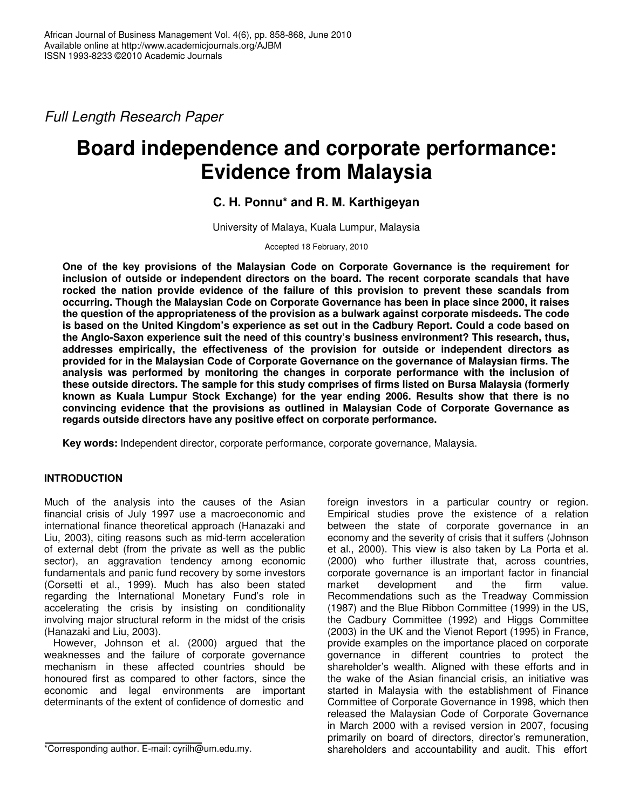*Full Length Research Paper*

# **Board independence and corporate performance: Evidence from Malaysia**

## **C. H. Ponnu\* and R. M. Karthigeyan**

University of Malaya, Kuala Lumpur, Malaysia

Accepted 18 February, 2010

**One of the key provisions of the Malaysian Code on Corporate Governance is the requirement for inclusion of outside or independent directors on the board. The recent corporate scandals that have rocked the nation provide evidence of the failure of this provision to prevent these scandals from occurring. Though the Malaysian Code on Corporate Governance has been in place since 2000, it raises the question of the appropriateness of the provision as a bulwark against corporate misdeeds. The code** is based on the United Kingdom's experience as set out in the Cadbury Report. Could a code based on **the Anglo-Saxon experience suit the need of this country's business environment? This research, thus, addresses empirically, the effectiveness of the provision for outside or independent directors as provided for in the Malaysian Code of Corporate Governance on the governance of Malaysian firms. The analysis was performed by monitoring the changes in corporate performance with the inclusion of these outside directors. The sample for this study comprises of firms listed on Bursa Malaysia (formerly known as Kuala Lumpur Stock Exchange) for the year ending 2006. Results show that there is no convincing evidence that the provisions as outlined in Malaysian Code of Corporate Governance as regards outside directors have any positive effect on corporate performance.**

**Key words:** Independent director, corporate performance, corporate governance, Malaysia.

## **INTRODUCTION**

Much of the analysis into the causes of the Asian financial crisis of July 1997 use a macroeconomic and international finance theoretical approach (Hanazaki and Liu, 2003), citing reasons such as mid-term acceleration of external debt (from the private as well as the public sector), an aggravation tendency among economic fundamentals and panic fund recovery by some investors (Corsetti et al., 1999). Much has also been stated regarding the International Monetary Fund's role in accelerating the crisis by insisting on conditionality involving major structural reform in the midst of the crisis (Hanazaki and Liu, 2003).

However, Johnson et al. (2000) argued that the weaknesses and the failure of corporate governance mechanism in these affected countries should be honoured first as compared to other factors, since the economic and legal environments are important determinants of the extent of confidence of domestic and

\*Corresponding author. E-mail: cyrilh@um.edu.my.

foreign investors in a particular country or region. Empirical studies prove the existence of a relation between the state of corporate governance in an economy and the severity of crisis that it suffers (Johnson et al., 2000). This view is also taken by La Porta et al. (2000) who further illustrate that, across countries, corporate governance is an important factor in financial market development and the firm value. Recommendations such as the Treadway Commission (1987) and the Blue Ribbon Committee (1999) in the US, the Cadbury Committee (1992) and Higgs Committee (2003) in the UK and the Vienot Report (1995) in France, provide examples on the importance placed on corporate governance in different countries to protect the shareholder's wealth. Aligned with these efforts and in the wake of the Asian financial crisis, an initiative was started in Malaysia with the establishment of Finance Committee of Corporate Governance in 1998, which then released the Malaysian Code of Corporate Governance in March 2000 with a revised version in 2007, focusing primarily on board of directors, director's remuneration, shareholders and accountability and audit. This effort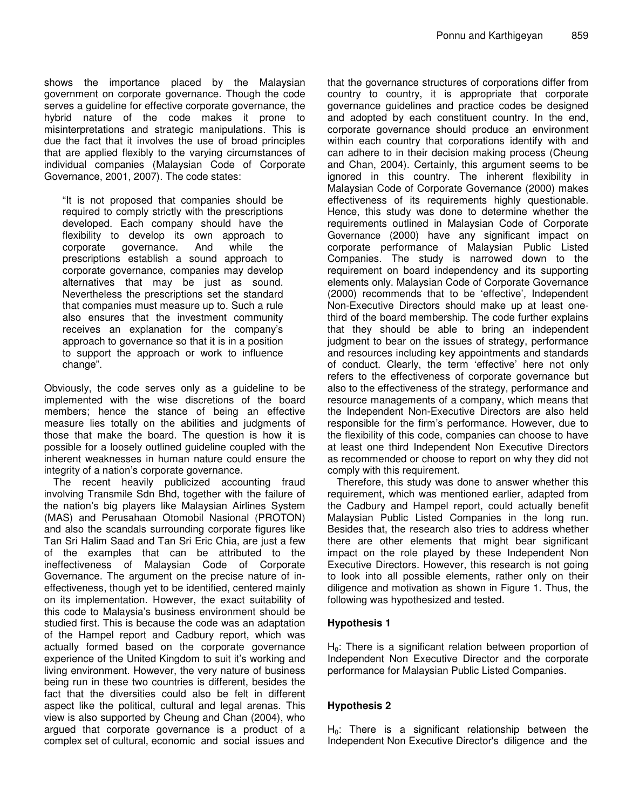shows the importance placed by the Malaysian government on corporate governance. Though the code serves a guideline for effective corporate governance, the hybrid nature of the code makes it prone to misinterpretations and strategic manipulations. This is due the fact that it involves the use of broad principles that are applied flexibly to the varying circumstances of individual companies (Malaysian Code of Corporate Governance, 2001, 2007). The code states:

"It is not proposed that companies should be required to comply strictly with the prescriptions developed. Each company should have the flexibility to develop its own approach to corporate governance. And while the prescriptions establish a sound approach to corporate governance, companies may develop alternatives that may be just as sound. Nevertheless the prescriptions set the standard that companies must measure up to. Such a rule also ensures that the investment community receives an explanation for the company's approach to governance so that it is in a position to support the approach or work to influence change".

Obviously, the code serves only as a guideline to be implemented with the wise discretions of the board members; hence the stance of being an effective measure lies totally on the abilities and judgments of those that make the board. The question is how it is possible for a loosely outlined guideline coupled with the inherent weaknesses in human nature could ensure the integrity of a nation's corporate governance.

The recent heavily publicized accounting fraud involving Transmile Sdn Bhd, together with the failure of the nation's big players like Malaysian Airlines System (MAS) and Perusahaan Otomobil Nasional (PROTON) and also the scandals surrounding corporate figures like Tan Sri Halim Saad and Tan Sri Eric Chia, are just a few of the examples that can be attributed to the ineffectiveness of Malaysian Code of Corporate Governance. The argument on the precise nature of ineffectiveness, though yet to be identified, centered mainly on its implementation. However, the exact suitability of this code to Malaysia's business environment should be studied first. This is because the code was an adaptation of the Hampel report and Cadbury report, which was actually formed based on the corporate governance experience of the United Kingdom to suit it's working and living environment. However, the very nature of business being run in these two countries is different, besides the fact that the diversities could also be felt in different aspect like the political, cultural and legal arenas. This view is also supported by Cheung and Chan (2004), who argued that corporate governance is a product of a complex set of cultural, economic and social issues and

that the governance structures of corporations differ from country to country, it is appropriate that corporate governance guidelines and practice codes be designed and adopted by each constituent country. In the end, corporate governance should produce an environment within each country that corporations identify with and can adhere to in their decision making process (Cheung and Chan, 2004). Certainly, this argument seems to be ignored in this country. The inherent flexibility in Malaysian Code of Corporate Governance (2000) makes effectiveness of its requirements highly questionable. Hence, this study was done to determine whether the requirements outlined in Malaysian Code of Corporate Governance (2000) have any significant impact on corporate performance of Malaysian Public Listed Companies. The study is narrowed down to the requirement on board independency and its supporting elements only. Malaysian Code of Corporate Governance (2000) recommends that to be 'effective'*,* Independent Non-Executive Directors should make up at least onethird of the board membership. The code further explains that they should be able to bring an independent judgment to bear on the issues of strategy, performance and resources including key appointments and standards of conduct. Clearly, the term 'effective' here not only refers to the effectiveness of corporate governance but also to the effectiveness of the strategy, performance and resource managements of a company, which means that the Independent Non-Executive Directors are also held responsible for the firm's performance. However, due to the flexibility of this code, companies can choose to have at least one third Independent Non Executive Directors as recommended or choose to report on why they did not comply with this requirement.

Therefore, this study was done to answer whether this requirement, which was mentioned earlier, adapted from the Cadbury and Hampel report, could actually benefit Malaysian Public Listed Companies in the long run. Besides that, the research also tries to address whether there are other elements that might bear significant impact on the role played by these Independent Non Executive Directors. However, this research is not going to look into all possible elements, rather only on their diligence and motivation as shown in Figure 1. Thus, the following was hypothesized and tested.

## **Hypothesis 1**

 $H<sub>0</sub>$ : There is a significant relation between proportion of Independent Non Executive Director and the corporate performance for Malaysian Public Listed Companies.

## **Hypothesis 2**

 $H<sub>0</sub>$ : There is a significant relationship between the Independent Non Executive Director's diligence and the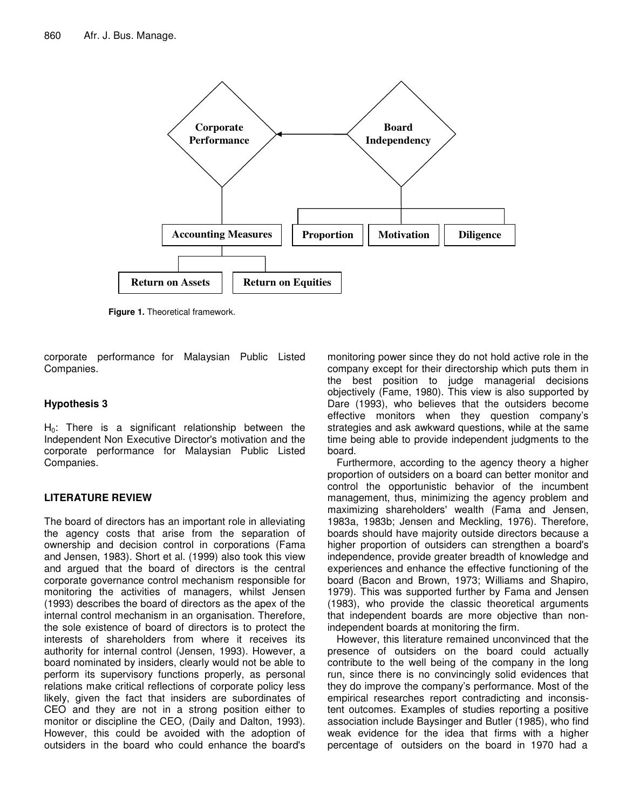

**Figure 1.** Theoretical framework.

corporate performance for Malaysian Public Listed Companies.

## **Hypothesis 3**

 $H<sub>0</sub>$ : There is a significant relationship between the Independent Non Executive Director's motivation and the corporate performance for Malaysian Public Listed Companies.

## **LITERATURE REVIEW**

The board of directors has an important role in alleviating the agency costs that arise from the separation of ownership and decision control in corporations (Fama and Jensen, 1983). Short et al. (1999) also took this view and argued that the board of directors is the central corporate governance control mechanism responsible for monitoring the activities of managers, whilst Jensen (1993) describes the board of directors as the apex of the internal control mechanism in an organisation. Therefore, the sole existence of board of directors is to protect the interests of shareholders from where it receives its authority for internal control (Jensen, 1993). However, a board nominated by insiders, clearly would not be able to perform its supervisory functions properly, as personal relations make critical reflections of corporate policy less likely, given the fact that insiders are subordinates of CEO and they are not in a strong position either to monitor or discipline the CEO, (Daily and Dalton, 1993). However, this could be avoided with the adoption of outsiders in the board who could enhance the board's

monitoring power since they do not hold active role in the company except for their directorship which puts them in the best position to judge managerial decisions objectively (Fame, 1980). This view is also supported by Dare (1993), who believes that the outsiders become effective monitors when they question company's strategies and ask awkward questions, while at the same time being able to provide independent judgments to the board.

Furthermore, according to the agency theory a higher proportion of outsiders on a board can better monitor and control the opportunistic behavior of the incumbent management, thus, minimizing the agency problem and maximizing shareholders' wealth (Fama and Jensen, 1983a, 1983b; Jensen and Meckling, 1976). Therefore, boards should have majority outside directors because a higher proportion of outsiders can strengthen a board's independence, provide greater breadth of knowledge and experiences and enhance the effective functioning of the board (Bacon and Brown, 1973; Williams and Shapiro, 1979). This was supported further by Fama and Jensen (1983), who provide the classic theoretical arguments that independent boards are more objective than nonindependent boards at monitoring the firm.

However, this literature remained unconvinced that the presence of outsiders on the board could actually contribute to the well being of the company in the long run, since there is no convincingly solid evidences that they do improve the company's performance. Most of the empirical researches report contradicting and inconsistent outcomes. Examples of studies reporting a positive association include Baysinger and Butler (1985), who find weak evidence for the idea that firms with a higher percentage of outsiders on the board in 1970 had a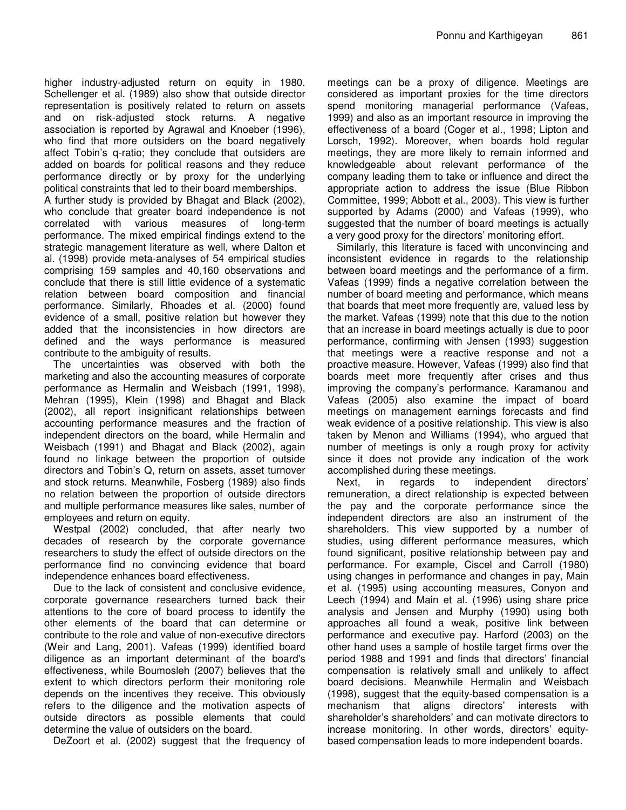higher industry-adjusted return on equity in 1980. Schellenger et al. (1989) also show that outside director representation is positively related to return on assets and on risk-adjusted stock returns. A negative association is reported by Agrawal and Knoeber (1996), who find that more outsiders on the board negatively affect Tobin's q-ratio; they conclude that outsiders are added on boards for political reasons and they reduce performance directly or by proxy for the underlying political constraints that led to their board memberships.

A further study is provided by Bhagat and Black (2002), who conclude that greater board independence is not correlated with various measures of long-term performance. The mixed empirical findings extend to the strategic management literature as well, where Dalton et al. (1998) provide meta-analyses of 54 empirical studies comprising 159 samples and 40,160 observations and conclude that there is still little evidence of a systematic relation between board composition and financial performance. Similarly, Rhoades et al. (2000) found evidence of a small, positive relation but however they added that the inconsistencies in how directors are defined and the ways performance is measured contribute to the ambiguity of results.

The uncertainties was observed with both the marketing and also the accounting measures of corporate performance as Hermalin and Weisbach (1991, 1998), Mehran (1995), Klein (1998) and Bhagat and Black (2002), all report insignificant relationships between accounting performance measures and the fraction of independent directors on the board, while Hermalin and Weisbach (1991) and Bhagat and Black (2002), again found no linkage between the proportion of outside directors and Tobin's Q, return on assets, asset turnover and stock returns. Meanwhile, Fosberg (1989) also finds no relation between the proportion of outside directors and multiple performance measures like sales, number of employees and return on equity.

Westpal (2002) concluded, that after nearly two decades of research by the corporate governance researchers to study the effect of outside directors on the performance find no convincing evidence that board independence enhances board effectiveness.

Due to the lack of consistent and conclusive evidence, corporate governance researchers turned back their attentions to the core of board process to identify the other elements of the board that can determine or contribute to the role and value of non-executive directors (Weir and Lang, 2001). Vafeas (1999) identified board diligence as an important determinant of the board's effectiveness, while Boumosleh (2007) believes that the extent to which directors perform their monitoring role depends on the incentives they receive. This obviously refers to the diligence and the motivation aspects of outside directors as possible elements that could determine the value of outsiders on the board.

DeZoort et al. (2002) suggest that the frequency of

meetings can be a proxy of diligence. Meetings are considered as important proxies for the time directors spend monitoring managerial performance (Vafeas, 1999) and also as an important resource in improving the effectiveness of a board (Coger et al., 1998; Lipton and Lorsch, 1992). Moreover, when boards hold regular meetings, they are more likely to remain informed and knowledgeable about relevant performance of the company leading them to take or influence and direct the appropriate action to address the issue (Blue Ribbon Committee, 1999; Abbott et al., 2003). This view is further supported by Adams (2000) and Vafeas (1999), who suggested that the number of board meetings is actually a very good proxy for the directors' monitoring effort.

Similarly, this literature is faced with unconvincing and inconsistent evidence in regards to the relationship between board meetings and the performance of a firm. Vafeas (1999) finds a negative correlation between the number of board meeting and performance, which means that boards that meet more frequently are, valued less by the market. Vafeas (1999) note that this due to the notion that an increase in board meetings actually is due to poor performance, confirming with Jensen (1993) suggestion that meetings were a reactive response and not a proactive measure. However, Vafeas (1999) also find that boards meet more frequently after crises and thus improving the company's performance. Karamanou and Vafeas (2005) also examine the impact of board meetings on management earnings forecasts and find weak evidence of a positive relationship. This view is also taken by Menon and Williams (1994), who argued that number of meetings is only a rough proxy for activity since it does not provide any indication of the work accomplished during these meetings.

Next, in regards to independent directors' remuneration, a direct relationship is expected between the pay and the corporate performance since the independent directors are also an instrument of the shareholders. This view supported by a number of studies, using different performance measures, which found significant, positive relationship between pay and performance. For example, Ciscel and Carroll (1980) using changes in performance and changes in pay, Main et al. (1995) using accounting measures, Conyon and Leech (1994) and Main et al. (1996) using share price analysis and Jensen and Murphy (1990) using both approaches all found a weak, positive link between performance and executive pay. Harford (2003) on the other hand uses a sample of hostile target firms over the period 1988 and 1991 and finds that directors' financial compensation is relatively small and unlikely to affect board decisions. Meanwhile Hermalin and Weisbach (1998), suggest that the equity-based compensation is a mechanism that aligns directors' interests with shareholder's shareholders' and can motivate directors to increase monitoring. In other words, directors' equitybased compensation leads to more independent boards.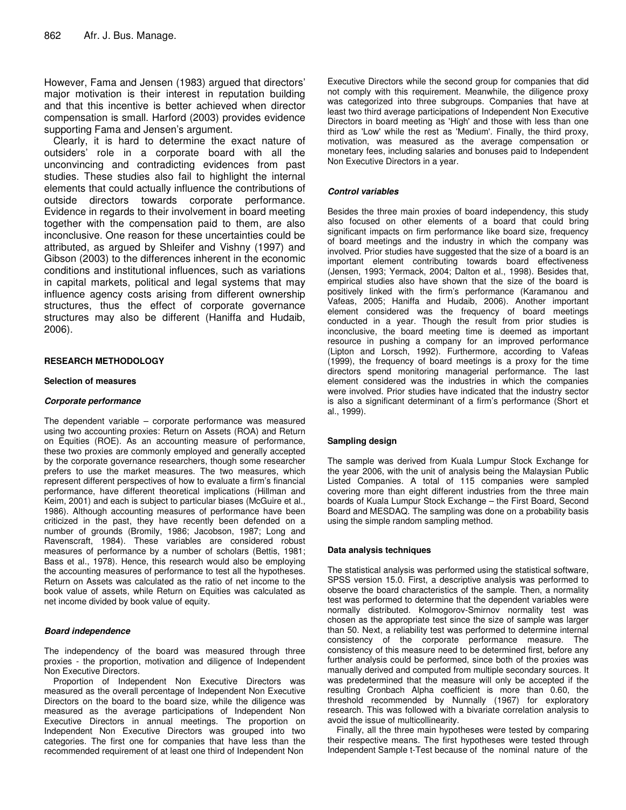However, Fama and Jensen (1983) argued that directors' major motivation is their interest in reputation building and that this incentive is better achieved when director compensation is small. Harford (2003) provides evidence supporting Fama and Jensen's argument.

Clearly, it is hard to determine the exact nature of outsiders' role in a corporate board with all the unconvincing and contradicting evidences from past studies. These studies also fail to highlight the internal elements that could actually influence the contributions of outside directors towards corporate performance. Evidence in regards to their involvement in board meeting together with the compensation paid to them, are also inconclusive. One reason for these uncertainties could be attributed, as argued by Shleifer and Vishny (1997) and Gibson (2003) to the differences inherent in the economic conditions and institutional influences, such as variations in capital markets, political and legal systems that may influence agency costs arising from different ownership structures, thus the effect of corporate governance structures may also be different (Haniffa and Hudaib, 2006).

#### **RESEARCH METHODOLOGY**

#### **Selection of measures**

#### *Corporate performance*

The dependent variable – corporate performance was measured using two accounting proxies: Return on Assets (ROA) and Return on Equities (ROE). As an accounting measure of performance, these two proxies are commonly employed and generally accepted by the corporate governance researchers, though some researcher prefers to use the market measures. The two measures, which represent different perspectives of how to evaluate a firm's financial performance, have different theoretical implications (Hillman and Keim, 2001) and each is subject to particular biases (McGuire et al., 1986). Although accounting measures of performance have been criticized in the past, they have recently been defended on a number of grounds (Bromily, 1986; Jacobson, 1987; Long and Ravenscraft, 1984). These variables are considered robust measures of performance by a number of scholars (Bettis, 1981; Bass et al., 1978). Hence, this research would also be employing the accounting measures of performance to test all the hypotheses. Return on Assets was calculated as the ratio of net income to the book value of assets, while Return on Equities was calculated as net income divided by book value of equity.

#### *Board independence*

The independency of the board was measured through three proxies - the proportion, motivation and diligence of Independent Non Executive Directors.

Proportion of Independent Non Executive Directors was measured as the overall percentage of Independent Non Executive Directors on the board to the board size, while the diligence was measured as the average participations of Independent Non Executive Directors in annual meetings. The proportion on Independent Non Executive Directors was grouped into two categories. The first one for companies that have less than the recommended requirement of at least one third of Independent Non

Executive Directors while the second group for companies that did not comply with this requirement. Meanwhile, the diligence proxy was categorized into three subgroups. Companies that have at least two third average participations of Independent Non Executive Directors in board meeting as 'High' and those with less than one third as 'Low' while the rest as 'Medium'. Finally, the third proxy, motivation, was measured as the average compensation or monetary fees, including salaries and bonuses paid to Independent Non Executive Directors in a year.

#### *Control variables*

Besides the three main proxies of board independency, this study also focused on other elements of a board that could bring significant impacts on firm performance like board size, frequency of board meetings and the industry in which the company was involved. Prior studies have suggested that the size of a board is an important element contributing towards board effectiveness (Jensen, 1993; Yermack, 2004; Dalton et al., 1998). Besides that, empirical studies also have shown that the size of the board is positively linked with the firm's performance (Karamanou and Vafeas, 2005; Haniffa and Hudaib, 2006). Another important element considered was the frequency of board meetings conducted in a year. Though the result from prior studies is inconclusive, the board meeting time is deemed as important resource in pushing a company for an improved performance (Lipton and Lorsch, 1992). Furthermore, according to Vafeas (1999), the frequency of board meetings is a proxy for the time directors spend monitoring managerial performance. The last element considered was the industries in which the companies were involved. Prior studies have indicated that the industry sector is also a significant determinant of a firm's performance (Short et al., 1999).

#### **Sampling design**

The sample was derived from Kuala Lumpur Stock Exchange for the year 2006, with the unit of analysis being the Malaysian Public Listed Companies. A total of 115 companies were sampled covering more than eight different industries from the three main boards of Kuala Lumpur Stock Exchange – the First Board, Second Board and MESDAQ. The sampling was done on a probability basis using the simple random sampling method.

#### **Data analysis techniques**

The statistical analysis was performed using the statistical software, SPSS version 15.0. First, a descriptive analysis was performed to observe the board characteristics of the sample. Then, a normality test was performed to determine that the dependent variables were normally distributed. Kolmogorov-Smirnov normality test was chosen as the appropriate test since the size of sample was larger than 50. Next, a reliability test was performed to determine internal consistency of the corporate performance measure. The consistency of this measure need to be determined first, before any further analysis could be performed, since both of the proxies was manually derived and computed from multiple secondary sources. It was predetermined that the measure will only be accepted if the resulting Cronbach Alpha coefficient is more than 0.60, the threshold recommended by Nunnally (1967) for exploratory research. This was followed with a bivariate correlation analysis to avoid the issue of multicollinearity.

Finally, all the three main hypotheses were tested by comparing their respective means. The first hypotheses were tested through Independent Sample t-Test because of the nominal nature of the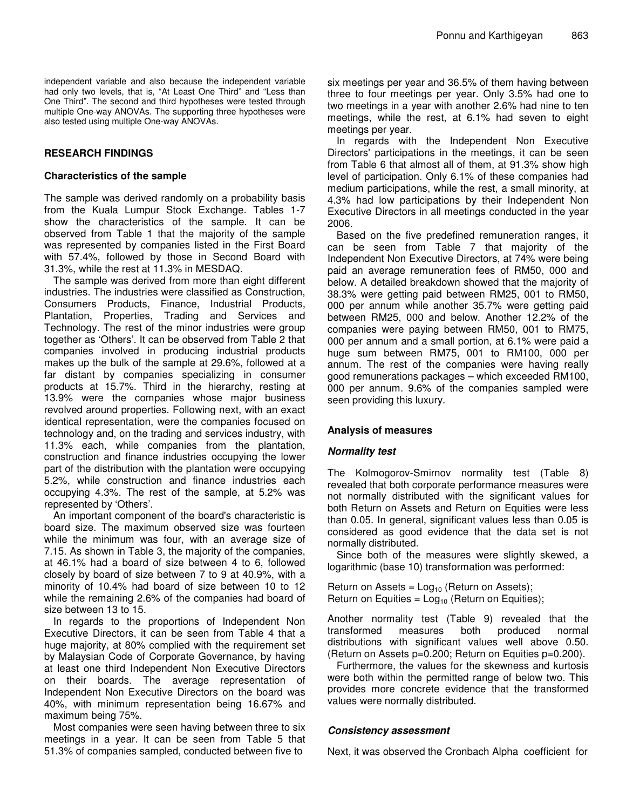independent variable and also because the independent variable had only two levels, that is, "At Least One Third" and "Less than One Third". The second and third hypotheses were tested through multiple One-way ANOVAs. The supporting three hypotheses were also tested using multiple One-way ANOVAs.

## **RESEARCH FINDINGS**

### **Characteristics of the sample**

The sample was derived randomly on a probability basis from the Kuala Lumpur Stock Exchange. Tables 1-7 show the characteristics of the sample. It can be observed from Table 1 that the majority of the sample was represented by companies listed in the First Board with 57.4%, followed by those in Second Board with 31.3%, while the rest at 11.3% in MESDAQ.

The sample was derived from more than eight different industries. The industries were classified as Construction, Consumers Products, Finance, Industrial Products, Plantation, Properties, Trading and Services and Technology. The rest of the minor industries were group together as 'Others'. It can be observed from Table 2 that companies involved in producing industrial products makes up the bulk of the sample at 29.6%, followed at a far distant by companies specializing in consumer products at 15.7%. Third in the hierarchy, resting at 13.9% were the companies whose major business revolved around properties. Following next, with an exact identical representation, were the companies focused on technology and, on the trading and services industry, with 11.3% each, while companies from the plantation, construction and finance industries occupying the lower part of the distribution with the plantation were occupying 5.2%, while construction and finance industries each occupying 4.3%. The rest of the sample, at 5.2% was represented by 'Others'.

An important component of the board's characteristic is board size. The maximum observed size was fourteen while the minimum was four, with an average size of 7.15. As shown in Table 3, the majority of the companies, at 46.1% had a board of size between 4 to 6, followed closely by board of size between 7 to 9 at 40.9%, with a minority of 10.4% had board of size between 10 to 12 while the remaining 2.6% of the companies had board of size between 13 to 15.

In regards to the proportions of Independent Non Executive Directors, it can be seen from Table 4 that a huge majority, at 80% complied with the requirement set by Malaysian Code of Corporate Governance, by having at least one third Independent Non Executive Directors on their boards. The average representation of Independent Non Executive Directors on the board was 40%, with minimum representation being 16.67% and maximum being 75%.

Most companies were seen having between three to six meetings in a year. It can be seen from Table 5 that 51.3% of companies sampled, conducted between five to

six meetings per year and 36.5% of them having between three to four meetings per year. Only 3.5% had one to two meetings in a year with another 2.6% had nine to ten meetings, while the rest, at 6.1% had seven to eight meetings per year.

In regards with the Independent Non Executive Directors' participations in the meetings, it can be seen from Table 6 that almost all of them, at 91.3% show high level of participation. Only 6.1% of these companies had medium participations, while the rest, a small minority, at 4.3% had low participations by their Independent Non Executive Directors in all meetings conducted in the year 2006.

Based on the five predefined remuneration ranges, it can be seen from Table 7 that majority of the Independent Non Executive Directors, at 74% were being paid an average remuneration fees of RM50, 000 and below. A detailed breakdown showed that the majority of 38.3% were getting paid between RM25, 001 to RM50, 000 per annum while another 35.7% were getting paid between RM25, 000 and below. Another 12.2% of the companies were paying between RM50, 001 to RM75, 000 per annum and a small portion, at 6.1% were paid a huge sum between RM75, 001 to RM100, 000 per annum. The rest of the companies were having really good remunerations packages – which exceeded RM100, 000 per annum. 9.6% of the companies sampled were seen providing this luxury.

## **Analysis of measures**

## *Normality test*

The Kolmogorov-Smirnov normality test (Table 8) revealed that both corporate performance measures were not normally distributed with the significant values for both Return on Assets and Return on Equities were less than 0.05. In general, significant values less than 0.05 is considered as good evidence that the data set is not normally distributed.

Since both of the measures were slightly skewed, a logarithmic (base 10) transformation was performed:

Return on Assets =  $Log<sub>10</sub>$  (Return on Assets); Return on Equities =  $Log_{10}$  (Return on Equities);

Another normality test (Table 9) revealed that the transformed measures both produced normal distributions with significant values well above 0.50. (Return on Assets p=0.200; Return on Equities p=0.200).

Furthermore, the values for the skewness and kurtosis were both within the permitted range of below two. This provides more concrete evidence that the transformed values were normally distributed.

## *Consistency assessment*

Next, it was observed the Cronbach Alpha coefficient for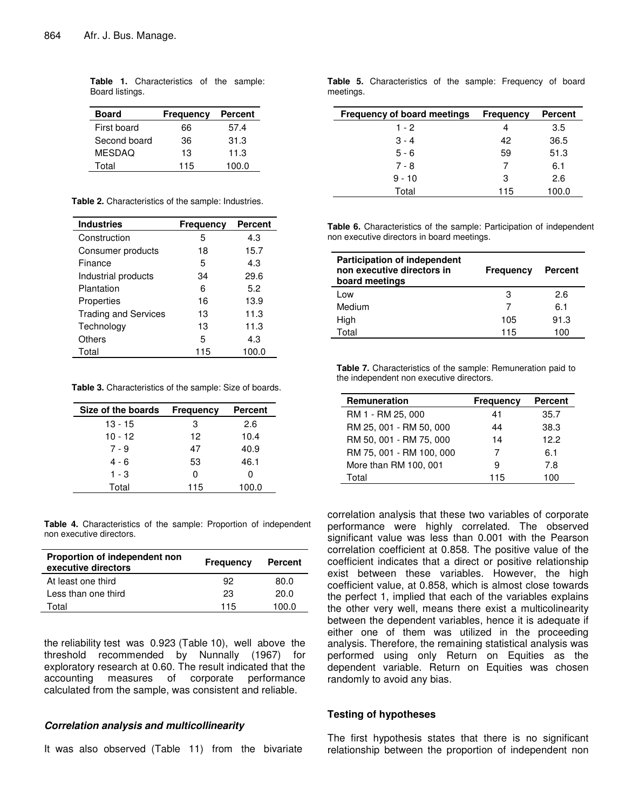| Frequency | <b>Percent</b> |
|-----------|----------------|
| 66        | 57.4           |
| 36        | 31.3           |
| 13        | 11.3           |
| 115       | 100.0          |
|           |                |

**Table 1.** Characteristics of the sample: Board listings.

|  | Table 2. Characteristics of the sample: Industries. |  |  |
|--|-----------------------------------------------------|--|--|
|--|-----------------------------------------------------|--|--|

| <b>Industries</b>           | Frequency | <b>Percent</b> |
|-----------------------------|-----------|----------------|
| Construction                | 5         | 4.3            |
| Consumer products           | 18        | 15.7           |
| Finance                     | 5         | 4.3            |
| Industrial products         | 34        | 29.6           |
| Plantation                  | 6         | 5.2            |
| Properties                  | 16        | 13.9           |
| <b>Trading and Services</b> | 13        | 11.3           |
| Technology                  | 13        | 11.3           |
| Others                      | 5         | 4.3            |
| Total                       | 115       | 100.0          |

**Table 3.** Characteristics of the sample: Size of boards.

| Size of the boards | <b>Frequency</b> | <b>Percent</b> |
|--------------------|------------------|----------------|
| 13 - 15            | з                | 2.6            |
| $10 - 12$          | 12               | 10.4           |
| 7 - 9              | 47               | 40.9           |
| 4 - 6              | 53               | 46.1           |
| $1 - 3$            | O                | O              |
| Total              | 115              | 100.0          |

**Table 4.** Characteristics of the sample: Proportion of independent non executive directors.

| Proportion of independent non<br>executive directors | <b>Frequency</b> | <b>Percent</b> |
|------------------------------------------------------|------------------|----------------|
| At least one third                                   | 92               | 80.0           |
| Less than one third                                  | 23               | 20.0           |
| Total                                                | 115              | 100.0          |

the reliability test was 0.923 (Table 10), well above the threshold recommended by Nunnally (1967) for exploratory research at 0.60. The result indicated that the accounting measures of corporate performance calculated from the sample, was consistent and reliable.

#### *Correlation analysis and multicollinearity*

It was also observed (Table 11) from the bivariate

**Table 5.** Characteristics of the sample: Frequency of board meetings.

| <b>Frequency of board meetings</b> | <b>Frequency</b> | <b>Percent</b> |
|------------------------------------|------------------|----------------|
| $1 - 2$                            |                  | 3.5            |
| $3 - 4$                            | 42               | 36.5           |
| $5 - 6$                            | 59               | 51.3           |
| $7 - 8$                            |                  | 6.1            |
| $9 - 10$                           | 3                | 2.6            |
| Total                              | 115              | 100.0          |

**Table 6.** Characteristics of the sample: Participation of independent non executive directors in board meetings.

| <b>Participation of independent</b><br>non executive directors in<br>board meetings | <b>Frequency</b> | <b>Percent</b> |
|-------------------------------------------------------------------------------------|------------------|----------------|
| Low                                                                                 | З                | 2.6            |
| Medium                                                                              |                  | 6.1            |
| High                                                                                | 105              | 91.3           |
| Total                                                                               | 115              | 100            |

**Table 7.** Characteristics of the sample: Remuneration paid to the independent non executive directors.

| Remuneration             | Frequency | <b>Percent</b> |
|--------------------------|-----------|----------------|
| RM 1 - RM 25, 000        | 41        | 35.7           |
| RM 25, 001 - RM 50, 000  | 44        | 38.3           |
| RM 50, 001 - RM 75, 000  | 14        | 12.2           |
| RM 75, 001 - RM 100, 000 | 7         | 6.1            |
| More than RM 100, 001    | 9         | 7.8            |
| Total                    | 115       | 1 በበ           |

correlation analysis that these two variables of corporate performance were highly correlated. The observed significant value was less than 0.001 with the Pearson correlation coefficient at 0.858. The positive value of the coefficient indicates that a direct or positive relationship exist between these variables. However, the high coefficient value, at 0.858, which is almost close towards the perfect 1, implied that each of the variables explains the other very well, means there exist a multicolinearity between the dependent variables, hence it is adequate if either one of them was utilized in the proceeding analysis. Therefore, the remaining statistical analysis was performed using only Return on Equities as the dependent variable. Return on Equities was chosen randomly to avoid any bias.

#### **Testing of hypotheses**

The first hypothesis states that there is no significant relationship between the proportion of independent non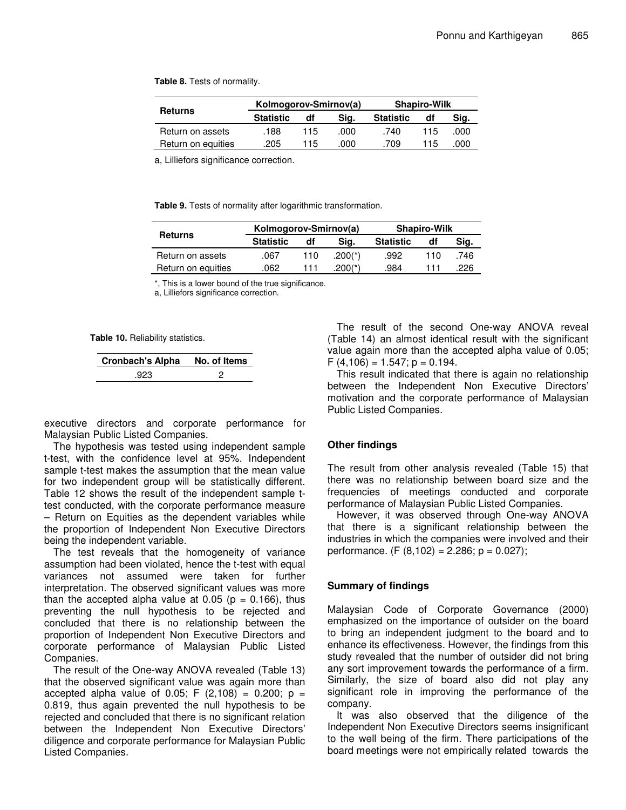**Table 8.** Tests of normality.

|                    | Kolmogorov-Smirnov(a) |     |      | <b>Shapiro-Wilk</b> |     |      |
|--------------------|-----------------------|-----|------|---------------------|-----|------|
| <b>Returns</b>     | <b>Statistic</b>      | df  | Sig. | <b>Statistic</b>    | df  | Sig. |
| Return on assets   | .188                  | 115 | .റററ | .740                | 115 | .000 |
| Return on equities | .205                  | 115 | .000 | .709                | 115 | .000 |

a, Lilliefors significance correction.

**Table 9.** Tests of normality after logarithmic transformation.

|                    | Kolmogorov-Smirnov(a) |     | <b>Shapiro-Wilk</b> |                  |     |      |
|--------------------|-----------------------|-----|---------------------|------------------|-----|------|
| <b>Returns</b>     | <b>Statistic</b>      | df  | Sig.                | <b>Statistic</b> | df  | Sig. |
| Return on assets   | .067                  | 110 | $.200(*)$           | .992             | 110 | .746 |
| Return on equities | .062                  | 111 | $.200$ (*)          | .984             | 111 | 226  |

\*, This is a lower bound of the true significance.

a, Lilliefors significance correction.

**Table 10.** Reliability statistics.

| Cronbach's Alpha No. of Items |  |
|-------------------------------|--|
| .923                          |  |

executive directors and corporate performance for Malaysian Public Listed Companies.

The hypothesis was tested using independent sample t-test, with the confidence level at 95%. Independent sample t-test makes the assumption that the mean value for two independent group will be statistically different. Table 12 shows the result of the independent sample ttest conducted, with the corporate performance measure – Return on Equities as the dependent variables while the proportion of Independent Non Executive Directors being the independent variable.

The test reveals that the homogeneity of variance assumption had been violated, hence the t-test with equal variances not assumed were taken for further interpretation. The observed significant values was more than the accepted alpha value at 0.05 ( $p = 0.166$ ), thus preventing the null hypothesis to be rejected and concluded that there is no relationship between the proportion of Independent Non Executive Directors and corporate performance of Malaysian Public Listed Companies.

The result of the One-way ANOVA revealed (Table 13) that the observed significant value was again more than accepted alpha value of 0.05; F  $(2,108) = 0.200$ ; p = 0.819, thus again prevented the null hypothesis to be rejected and concluded that there is no significant relation between the Independent Non Executive Directors' diligence and corporate performance for Malaysian Public Listed Companies.

The result of the second One-way ANOVA reveal (Table 14) an almost identical result with the significant value again more than the accepted alpha value of 0.05;  $F(4,106) = 1.547; p = 0.194.$ 

This result indicated that there is again no relationship between the Independent Non Executive Directors' motivation and the corporate performance of Malaysian Public Listed Companies.

#### **Other findings**

The result from other analysis revealed (Table 15) that there was no relationship between board size and the frequencies of meetings conducted and corporate performance of Malaysian Public Listed Companies.

However, it was observed through One-way ANOVA that there is a significant relationship between the industries in which the companies were involved and their performance. (F  $(8,102) = 2.286$ ; p = 0.027);

#### **Summary of findings**

Malaysian Code of Corporate Governance (2000) emphasized on the importance of outsider on the board to bring an independent judgment to the board and to enhance its effectiveness. However, the findings from this study revealed that the number of outsider did not bring any sort improvement towards the performance of a firm. Similarly, the size of board also did not play any significant role in improving the performance of the company.

It was also observed that the diligence of the Independent Non Executive Directors seems insignificant to the well being of the firm. There participations of the board meetings were not empirically related towards the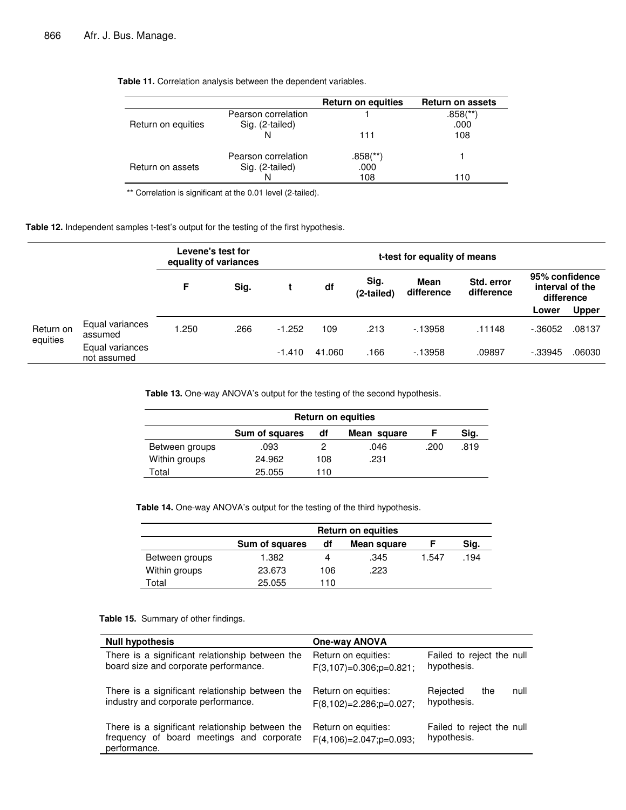|                    |                     | <b>Return on equities</b> | <b>Return on assets</b> |
|--------------------|---------------------|---------------------------|-------------------------|
|                    | Pearson correlation |                           | $.858$ <sup>(**)</sup>  |
| Return on equities | Sig. (2-tailed)     |                           | .000                    |
|                    |                     | 111                       | 108                     |
|                    | Pearson correlation | .858(**)                  |                         |
| Return on assets   | Sig. (2-tailed)     | .000                      |                         |
|                    |                     | 108                       | l 10                    |

**Table 11.** Correlation analysis between the dependent variables.

\*\* Correlation is significant at the 0.01 level (2-tailed).

**Table 12.** Independent samples t-test's output for the testing of the first hypothesis.

|                       |                                | Levene's test for<br>equality of variances |      | t-test for equality of means |        |                    |                           |                          |                                                 |              |
|-----------------------|--------------------------------|--------------------------------------------|------|------------------------------|--------|--------------------|---------------------------|--------------------------|-------------------------------------------------|--------------|
|                       |                                | F                                          | Sig. |                              | df     | Sig.<br>(2-tailed) | <b>Mean</b><br>difference | Std. error<br>difference | 95% confidence<br>interval of the<br>difference |              |
|                       |                                |                                            |      |                              |        |                    |                           |                          | Lower                                           | <b>Upper</b> |
| Return on<br>equities | Equal variances<br>assumed     | 1.250                                      | .266 | $-1.252$                     | 109    | .213               | $-13958$                  | .11148                   | $-0.36052$                                      | .08137       |
|                       | Equal variances<br>not assumed |                                            |      | $-1.410$                     | 41.060 | .166               | $-13958$                  | .09897                   | $-0.33945$                                      | .06030       |

**Table 13.** One-way ANOVA's output for the testing of the second hypothesis.

|                | <b>Return on equities</b> |     |             |      |      |  |
|----------------|---------------------------|-----|-------------|------|------|--|
|                | Sum of squares            | df  | Mean square |      | Sig. |  |
| Between groups | .093                      |     | .046        | .200 | .819 |  |
| Within groups  | 24.962                    | 108 | .231        |      |      |  |
| Total          | 25.055                    | 110 |             |      |      |  |

**Table 14.** One-way ANOVA's output for the testing of the third hypothesis.

|                | <b>Return on equities</b> |     |             |       |      |  |
|----------------|---------------------------|-----|-------------|-------|------|--|
|                | Sum of squares            | df  | Mean square |       | Sig. |  |
| Between groups | 1.382                     |     | .345        | 1.547 | .194 |  |
| Within groups  | 23.673                    | 106 | .223        |       |      |  |
| Total          | 25.055                    | 110 |             |       |      |  |

**Table 15.** Summary of other findings.

| <b>Null hypothesis</b>                                                                                       | <b>One-way ANOVA</b>                                  |                                          |
|--------------------------------------------------------------------------------------------------------------|-------------------------------------------------------|------------------------------------------|
| There is a significant relationship between the<br>board size and corporate performance.                     | Return on equities:<br>$F(3,107)=0.306$ ; p=0.821;    | Failed to reject the null<br>hypothesis. |
| There is a significant relationship between the<br>industry and corporate performance.                       | Return on equities:<br>$F(8, 102) = 2.286$ ; p=0.027; | Rejected<br>null<br>the<br>hypothesis.   |
| There is a significant relationship between the<br>frequency of board meetings and corporate<br>performance. | Return on equities:<br>$F(4,106) = 2.047$ ; p=0.093;  | Failed to reject the null<br>hypothesis. |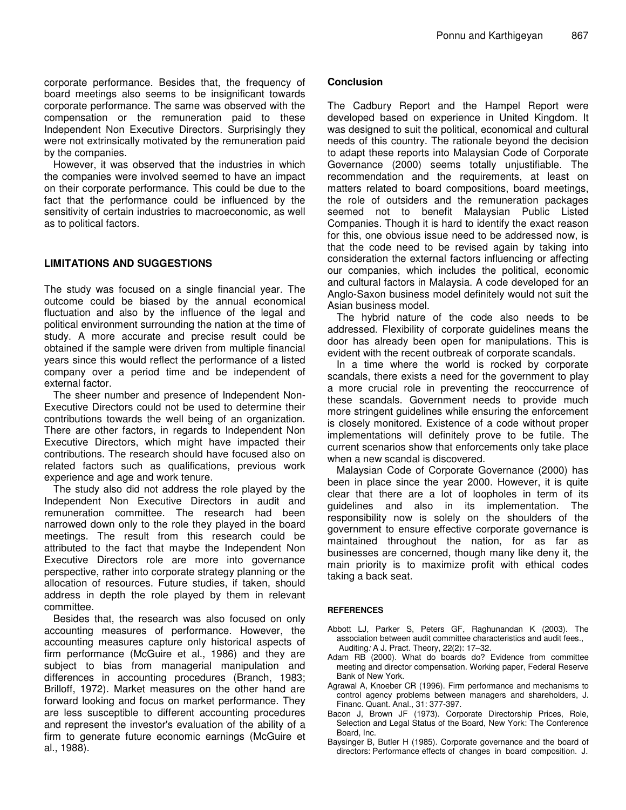corporate performance. Besides that, the frequency of board meetings also seems to be insignificant towards corporate performance. The same was observed with the compensation or the remuneration paid to these Independent Non Executive Directors. Surprisingly they were not extrinsically motivated by the remuneration paid by the companies.

However, it was observed that the industries in which the companies were involved seemed to have an impact on their corporate performance. This could be due to the fact that the performance could be influenced by the sensitivity of certain industries to macroeconomic, as well as to political factors.

## **LIMITATIONS AND SUGGESTIONS**

The study was focused on a single financial year. The outcome could be biased by the annual economical fluctuation and also by the influence of the legal and political environment surrounding the nation at the time of study. A more accurate and precise result could be obtained if the sample were driven from multiple financial years since this would reflect the performance of a listed company over a period time and be independent of external factor.

The sheer number and presence of Independent Non-Executive Directors could not be used to determine their contributions towards the well being of an organization. There are other factors, in regards to Independent Non Executive Directors, which might have impacted their contributions. The research should have focused also on related factors such as qualifications, previous work experience and age and work tenure.

The study also did not address the role played by the Independent Non Executive Directors in audit and remuneration committee. The research had been narrowed down only to the role they played in the board meetings. The result from this research could be attributed to the fact that maybe the Independent Non Executive Directors role are more into governance perspective, rather into corporate strategy planning or the allocation of resources. Future studies, if taken, should address in depth the role played by them in relevant committee.

Besides that, the research was also focused on only accounting measures of performance. However, the accounting measures capture only historical aspects of firm performance (McGuire et al., 1986) and they are subject to bias from managerial manipulation and differences in accounting procedures (Branch, 1983; Brilloff, 1972). Market measures on the other hand are forward looking and focus on market performance. They are less susceptible to different accounting procedures and represent the investor's evaluation of the ability of a firm to generate future economic earnings (McGuire et al., 1988).

## **Conclusion**

The Cadbury Report and the Hampel Report were developed based on experience in United Kingdom. It was designed to suit the political, economical and cultural needs of this country. The rationale beyond the decision to adapt these reports into Malaysian Code of Corporate Governance (2000) seems totally unjustifiable. The recommendation and the requirements, at least on matters related to board compositions, board meetings, the role of outsiders and the remuneration packages seemed not to benefit Malaysian Public Listed Companies. Though it is hard to identify the exact reason for this, one obvious issue need to be addressed now, is that the code need to be revised again by taking into consideration the external factors influencing or affecting our companies, which includes the political, economic and cultural factors in Malaysia. A code developed for an Anglo-Saxon business model definitely would not suit the Asian business model.

The hybrid nature of the code also needs to be addressed. Flexibility of corporate guidelines means the door has already been open for manipulations. This is evident with the recent outbreak of corporate scandals.

In a time where the world is rocked by corporate scandals, there exists a need for the government to play a more crucial role in preventing the reoccurrence of these scandals. Government needs to provide much more stringent guidelines while ensuring the enforcement is closely monitored. Existence of a code without proper implementations will definitely prove to be futile. The current scenarios show that enforcements only take place when a new scandal is discovered.

Malaysian Code of Corporate Governance (2000) has been in place since the year 2000. However, it is quite clear that there are a lot of loopholes in term of its guidelines and also in its implementation. The responsibility now is solely on the shoulders of the government to ensure effective corporate governance is maintained throughout the nation, for as far as businesses are concerned, though many like deny it, the main priority is to maximize profit with ethical codes taking a back seat.

#### **REFERENCES**

- Abbott LJ, Parker S, Peters GF, Raghunandan K (2003). The association between audit committee characteristics and audit fees., Auditing*:* A J. Pract. Theory, 22(2): 17–32.
- Adam RB (2000). What do boards do? Evidence from committee meeting and director compensation. Working paper, Federal Reserve Bank of New York.
- Agrawal A, Knoeber CR (1996). Firm performance and mechanisms to control agency problems between managers and shareholders, J. Financ. Quant. Anal., 31: 377-397.
- Bacon J, Brown JF (1973). Corporate Directorship Prices, Role, Selection and Legal Status of the Board, New York: The Conference Board, Inc.
- Baysinger B, Butler H (1985). Corporate governance and the board of directors: Performance effects of changes in board composition. J.